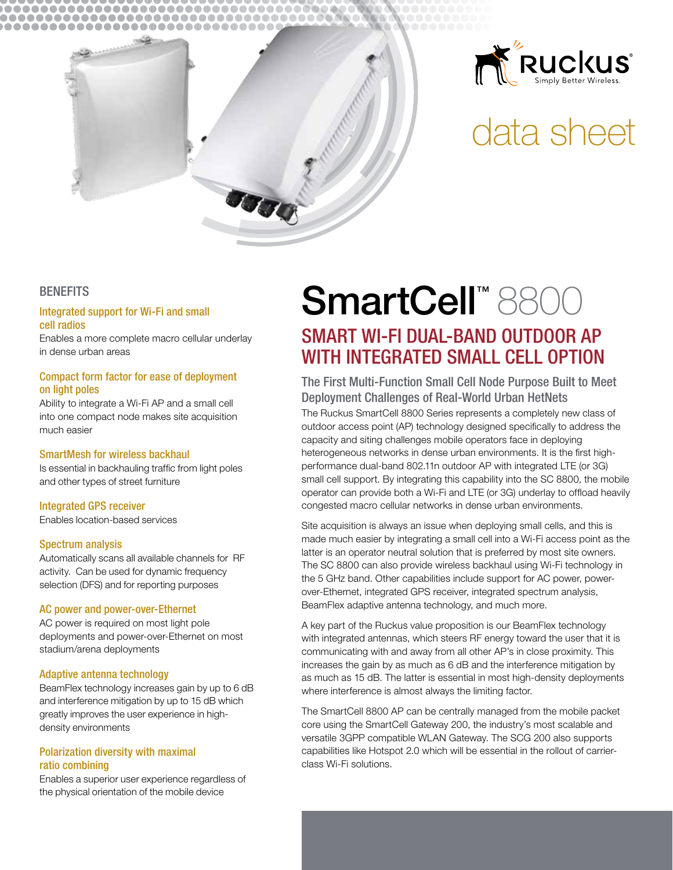



# data sheet

## **BENEFITS**

## Integrated support for Wi-Fi and small cell radios

Enables a more complete macro cellular underlay in dense urban areas

## Compact form factor for ease of deployment on light poles

Ability to integrate a Wi-Fi AP and a small cell into one compact node makes site acquisition much easier

## SmartMesh for wireless backhaul

Is essential in backhauling traffic from light poles and other types of street furniture

## Integrated GPS receiver

Enables location-based services

## Spectrum analysis

Automatically scans all available channels for RF activity. Can be used for dynamic frequency selection (DFS) and for reporting purposes

## AC power and power-over-Ethernet

AC power is required on most light pole deployments and power-over-Ethernet on most stadium/arena deployments

## Adaptive antenna technology

BeamFlex technology increases gain by up to 6 dB and interference mitigation by up to 15 dB which greatly improves the user experience in highdensity environments

## Polarization diversity with maximal ratio combining

Enables a superior user experience regardless of the physical orientation of the mobile device

## SmartCell<sup>™8800</sup> SMART WI-FI DUAL-BAND OUTDOOR AP WITH INTEGRATED SMALL CELL OPTION

The First Multi-Function Small Cell Node Purpose Built to Meet Deployment Challenges of Real-World Urban HetNets The Ruckus SmartCell 8800 Series represents a completely new class of outdoor access point (AP) technology designed specifically to address the capacity and siting challenges mobile operators face in deploying heterogeneous networks in dense urban environments. It is the first highperformance dual-band 802.11n outdoor AP with integrated LTE (or 3G) small cell support. By integrating this capability into the SC 8800, the mobile operator can provide both a Wi-Fi and LTE (or 3G) underlay to offload heavily congested macro cellular networks in dense urban environments.

Site acquisition is always an issue when deploying small cells, and this is made much easier by integrating a small cell into a Wi-Fi access point as the latter is an operator neutral solution that is preferred by most site owners. The SC 8800 can also provide wireless backhaul using Wi-Fi technology in the 5 GHz band. Other capabilities include support for AC power, powerover-Ethernet, integrated GPS receiver, integrated spectrum analysis, BeamFlex adaptive antenna technology, and much more.

A key part of the Ruckus value proposition is our BeamFlex technology with integrated antennas, which steers RF energy toward the user that it is communicating with and away from all other AP's in close proximity. This increases the gain by as much as 6 dB and the interference mitigation by as much as 15 dB. The latter is essential in most high-density deployments where interference is almost always the limiting factor.

The SmartCell 8800 AP can be centrally managed from the mobile packet core using the SmartCell Gateway 200, the industry's most scalable and versatile 3GPP compatible WLAN Gateway. The SCG 200 also supports capabilities like Hotspot 2.0 which will be essential in the rollout of carrierclass Wi-Fi solutions.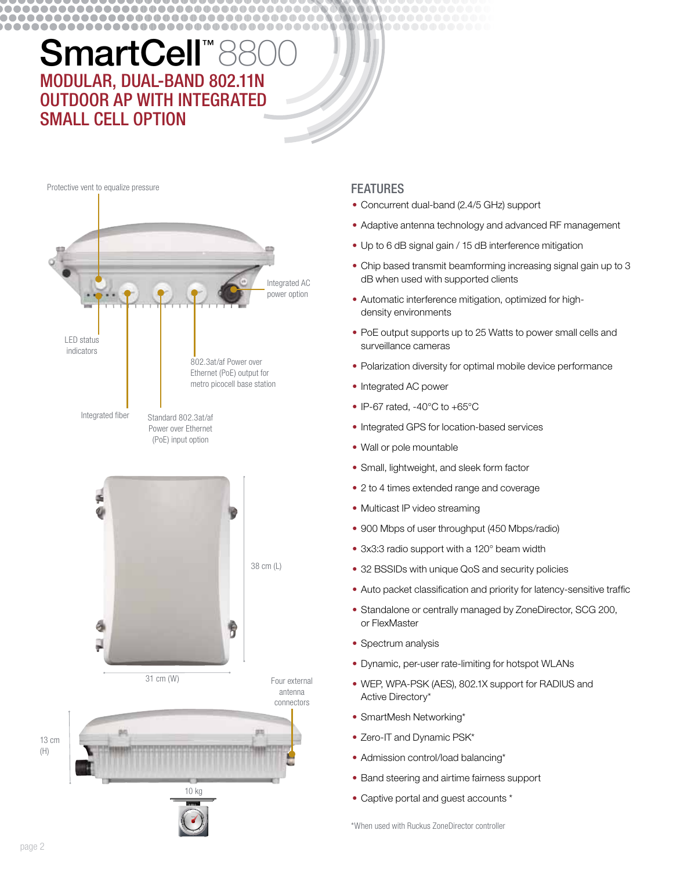#### .............................. .................................... ..................................

## SmartCell<sup>™</sup> 8800 MODULAR, DUAL-BAND 802.11N OUTDOOR AP WITH INTEGRATED small CELL OPTION



## **FEATURES**

- Concurrent dual-band (2.4/5 GHz) support
- Adaptive antenna technology and advanced RF management
- Up to 6 dB signal gain / 15 dB interference mitigation
- Chip based transmit beamforming increasing signal gain up to 3 dB when used with supported clients
- Automatic interference mitigation, optimized for highdensity environments
- PoE output supports up to 25 Watts to power small cells and surveillance cameras
- Polarization diversity for optimal mobile device performance
- Integrated AC power
- IP-67 rated,  $-40^{\circ}$ C to  $+65^{\circ}$ C
- Integrated GPS for location-based services
- Wall or pole mountable
- Small, lightweight, and sleek form factor
- 2 to 4 times extended range and coverage
- Multicast IP video streaming
- 900 Mbps of user throughput (450 Mbps/radio)
- 3x3:3 radio support with a 120° beam width
- 32 BSSIDs with unique QoS and security policies
- Auto packet classification and priority for latency-sensitive traffic
- Standalone or centrally managed by ZoneDirector, SCG 200, or FlexMaster
- Spectrum analysis
- Dynamic, per-user rate-limiting for hotspot WLANs
- WEP, WPA-PSK (AES), 802.1X support for RADIUS and Active Directory\*
- SmartMesh Networking\*
- Zero-IT and Dynamic PSK\*
- Admission control/load balancing\*
- Band steering and airtime fairness support
- Captive portal and guest accounts \*

\*When used with Ruckus ZoneDirector controller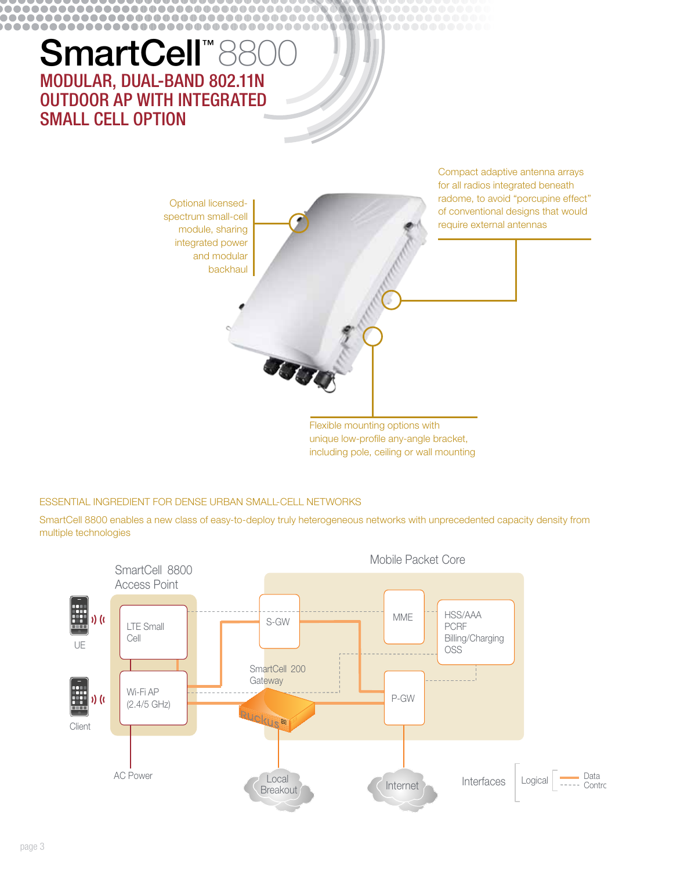#### .............................. .................................... ...............................

## SmartCell<sup>™8800</sup> MODULAR, DUAL-BAND 802.11N OUTDOOR AP WITH INTEGRATED small CELL OPTION

Flexible mounting options with unique low-profile any-angle bracket, for all radios integrated beneath radome, to avoid "porcupine effect" of conventional designs that would require external antennas Optional licensedspectrum small-cell module, sharing integrated power and modular backhaul

including pole, ceiling or wall mounting

Compact adaptive antenna arrays

## ESSENTIAL INGREDIENT FOR DENSE URBAN SMALL-CELL NETWORKS

SmartCell 8800 enables a new class of easy-to-deploy truly heterogeneous networks with unprecedented capacity density from multiple technologies